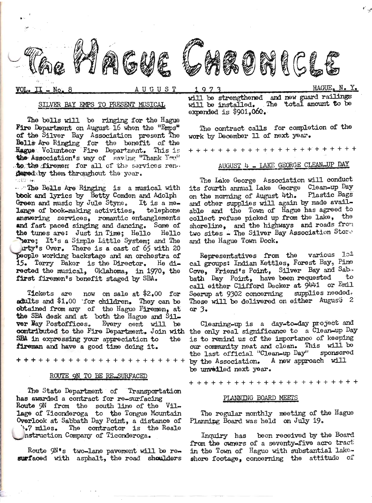

 $N_{Q_{\bullet}}$ 

# SILVER BAY EMPS TO PRESENT MUSICAL

The bells will be ringing for the Hague Fire Department on August 16 when the "Emps" of the Silver Bay Association present The<br>Bells Are Ringing for the benefit of the<br>Hague Volunteer Fire Department. This is the Association's way of saving "Thank You" to the firemen for all of the services ren. dered by them throughout the year. .<br>^अ€3≧ स्क्र

- The Bells Are Ringing is a musical with book and lyrics by Betty Comden and Adolph Green and music by Jule Styne. It is a melange of book-making activities, telephone answering services, romantic entanglements and fast paced singing and dancing. Some of the tunes are: Just in Time; Hello Hello There; It's a Simple Little System; and The urty's Over. There is a cast of 65 with 20 people working backstage and an orchestra of 15. Terry Baker is the Director. He directed the musical, Oklahoma, in 1970, the first firemen's benefit staged by SBA.

Tickets are now on sale at  $$2,00$  for adults and \$1.00 for children. They can be obtained from any of the Hague Firemen, at the SBA desk and at both the Hague and Silver Eay Postoffices. Every cent will be contributed to the Fire Department. Join with the only real significance to a Clean-up Day SBA in expressing your appreciation to the fireman and have a good time doing it.

**+++**+++++++++++++++++++

## ROUTE ON TO BE RE SURFACED

The State Department of Transportation has awarded a contract for re-surfacing Route 9N from the south line of the Village of Ticonderoga to the Tongue Mountain Overlook at Sabbath Day Point, a distance of '.7 miles. The contractor is the Reale nstruction Company of Ticonderoga.

Route 9N's two-lane pavement will be resurfaced with asphalt, the road shoulders

HAGUE, N. Y. 1973 will be strengthened and new guard railings<br>will be installed. The total amount to be

expended is  $$901,060.$ 

The contract calls for completion of the work by December 11 of next year.

# AUGUST 4 - LAKE GEORGE CLEAN UP DAY

The Lake George Association will conduct its fourth annual Lake George Clean-up Day on the morning of August 4th. Plastic Bags and other supplies will again by made available and the Town of Hague has agreed to collect refuse picked up from the lake, the shoreline, and the highways and roads from two sites - The Silver Bay Association Store and the Hague Town Dock.

Representatives from the various 1.04<br>cal groups: Indian Kettles, Forest Bay, Pine Cove, Friend's Point, Silver Bay and Sabbath Day Point, have been requested call either Clifford Decker at 9441 or Emil supplies needed. Seerup at 9302 concerning These will be delivered on either August 2 or  $3.$ 

Cleaning-up is a day-to-day project and is to remind us of the importance of keeping our community neat and clean. This will be sponsored the last official "Clean-up Day" by the Association. A new approach will be unveiled next year.

## PLANNING BOARD MEETS

The regular monthly meeting of the Hague Planning Board was held on July 19.

Inquiry has been received by the Board from the owners of a seventy-five acre tract in the Town of Hague with substantial lakeshore footage, concerning the attitude of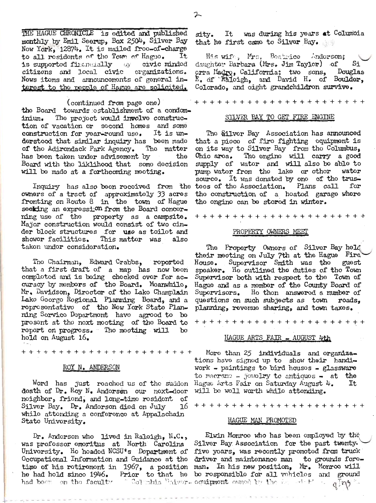THE HAGUE CHRONICLE is edited and published monthly by Emil Seerup. Box 2504. Silver Bay Now York, 12874. It is mailed froo-of-charge to all residents of the Town of Hague. It is supported financially by civic minded citizens and local civic organizations. News items and announcements of general interest to the people of Hague are solicited.

(continued from page one) the Board towards establishment of a condom-The project would involve construcinium. tion of vacation or second homes and some construction for year-round use. It is understood that similar inquiry has been made of the Adirondack Park Agency. The matter has been taken under advisement by the Board with the liklihood that some decision will be made at a forthcoming meeting.

Inquiry has also been received from the owners of a tract of approximately  $33$  acres<br>fronting on Route 8 in the town of Hague seeking an expression from the Board concerning use of the property as a campsite. Major construction would consist of two cinder block structures for use as toilot and showor facilitios. This matter was also takon undor consideration.

The Chairman, Edward Crabbs, reported that a first draft of a map has now been comploted and is being checked over for accuracy by membors of tho Board. Moanwhilo. Mr. Davidson, Diroctor of tho Lako Champlain Lake Goorgo Rogional Planning Board, and a roprosentative of the New York State Planning Sorvice Department have agreed to be prosent at the next meeting of the Board to report on progress. The meeting will hold on August 16.

+ + + + + + + + + + + + + + + + + +

#### ROY N. ANDERSON

Word has just reached us of the suddon death of Dr. Roy N. Anderson our next-door noighbor, friend, and long-time resident of Silver Bay. Dr. Andorson died on July 16 while attonding a conference at Appalachain State University.

 $Dr_{\bullet}$  Anderson who lived in Raloigh,  $N_{\bullet}C_{\bullet}$ , was profossor emoritus at North Carolina University. He headed NCSU's Department of five years, was recently promoted from truck time of his rotirement in 1967, a position man. In his new position, Mr. Monroe will he had hold since 1946. Prior to that he be responsible for all vehicles and ground had been on the faculty of Columbia liniver. continuout cancel by the second the

sity. It was during his years at Columbia that he first came to Silver Bay.

His wife, Mrs. Beatrice Anderson; daughter Barbara (Mrs. Jim Taylor) of Si orra Madro, California; two sons, Douglas<br>E. of Raloigh, and David H. of Boulder, Douglas Colorado, and eight grandchildron survive.

#### SILVER BAY TO GET FIRE ENGINE

The Gilver Bay Association has announced that a piece of fire fighting equipment is on its way to Silver Bay from the Columbus,<br>Ohio area. The engine will carry a good supply of water and will also be able to pump water from the lake or other wator source. It was donated by one of the trustoos of the Association. Plans call for the construction of a hoated garage where the ongine can be stored in winter.

#### PROPERTY OWNERS MEET

The Property Owners of Silver Bay held their meeting on July 7th at the Hague Fire House. Supervisor Smith was the guest spoaker. He outlined the duties of the Town Supervisor both with respect to the Town of Hague and as a member of the County Board of Supervisors. He then answered a number of questions on such subjects as town roads. planning, revenue sharing, and town taxes.

#### HAGUE ARTS FAIR - AUGUST 4th

More than 25 individuals and organizations have signed up to show their handiwork - paintings to bird houses - glassware to macrame - jovelry to antiques - at the Hague Arts Fair on Saturday August 4. It will be well worth while attending.

+++++++++++++++++++++++

#### HAGUE MAN PROMOTED

Elwin Monroe who has been employed by the Silver Bay Association for the past twenty. Occupational Information and Guidance at the driver and maintenance man to grounds fore $a \wedge b$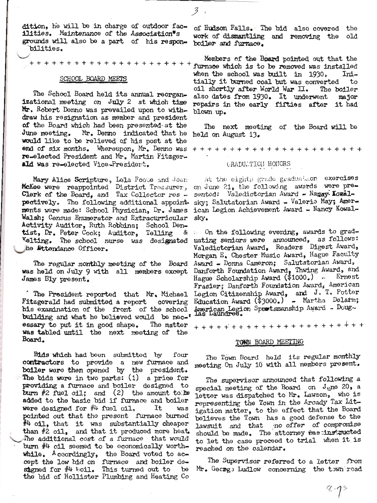dition, he will be in charge of outdoor facilities. Maintenance of the Association's grounds will also be a part of his responbilities.

#### SCHOOL BOARD MEETS

The School Board held its annual reorganizational meeting on July 2 at which time Mr. Robert Denno was prevailed upon to withdraw his resignation as member and president of the Board which had been presented at the June meeting. Mr. Denno indicated that he would like to be relieved of his post at the end of six months. Whereupon, Mr. Denno was  $++++++++++++++++++++++++$ re-elected President and Mr. Martin Fitzgerald was re-elected Vice-President.

Mary Alice Scripture, Lela Foote and Jean McKee were reappointed District Treasurer, on June 21, the following awards were pre-Clerk of the Board, and Tax Collector res. pectively. The following additional appoint sky; Salutatorian Award - Valerie May; Amerments were made: School Physician, Dr. James ican Legion Achievement Award - Nancy Kowal-Walsh; Census Enumerator and Extracurricular Activity Auditor, Ruth Robbins; School Dentist, Dr. Peter Cook; Auditor, Telling Kelting. The school nurse was designated the Attendance Officer.

The regular monthly meeting of the Board was held on July 9 with all members except James Bly present.

The President reported that Mr. Michael building and what he bolieved would be nec-' Las Laundres. Sportsmanship Award - Doug. essary to put it in good shape. The matter was tabled until the next meeting of the Board.

Bids which had been submitted by four contractors to provide a new furnace and boiler were then opened by the president. The bids were in two parts:  $(1)$  a price for providing a furnace and boiler designed to burn #2  $\frac{1}{2}$  ruel oil; and  $\frac{2}{2}$  the amount to the added to the basic bid if furnace and boiler were designed for  $#4$  fuel oil. It was pointed out that the present furnace burned  $\#$ 4 oil, that it was substantially cheaper than #2 oil, and that it produced more heat. The additional cost of a furnace that would burn #4 cil seemed to be economically worthwhile.  $\Lambda$  coordingly, the Board voted to accept the low bid on furnace and boiler designed for #4 boil. This turned out to  $be$ the bid of Hollister Plumbing and Heating Co

of Hudson Falls. The bid also covered the work of dismantling and removing the old boiler and furnace.

 $3.$ 

Members of the Board pointed out that the furnace which is to be removed was installed when the school was built in 1930, Initially it burned coal but was converted to oil shortly after World War  $\Pi_{\bullet}$ The boiler also dates from 1930. It underwent major repairs in the early fifties after it had blown up.

The next meeting of the Board will be held on August 13.

#### GRADULTICH HONORS

At the eighth grade graduabion exercises sented: Valedictorian Award - Naggy Kowalsky.

On the following evening, awards to grad-ا نان جگ uating seniors were announced, as follows:<br>Valedictorian Award, Readers Digest Award, Morgan E. Chester Music Award, Hague Faculty Award - Donna Cameron; Salutatorian Award, Danforth Foundation Award, Thwing Award, and<br>Hague Scholarship Award (\$1000.) - Ernest Frasier; Danforth Foundation Award, American Legion Citizenship Award, and J. T. Potter Education Award (\$3000.) - Martha Delarm;

## TOWN BOARD MEETING

The Town Board held its regular monthly meeting On July 10 with all members present.

The supervisor announced that following a special meeting of the Board on  $J_{u}$ ne 20, a letter was dispatched to Mr. Lawson, who is representing the Town in the Arcady Tax Litigation matter, to the effect that the Board believes the Town has a good defense to the lawsuit and that mo offer of compromise<br>should be made. The attorney was instructed to let the case proceed to trial when it is reached on the calendar.

The Supervisor referred to a letter from Mr. George Ludlow concerning the town road